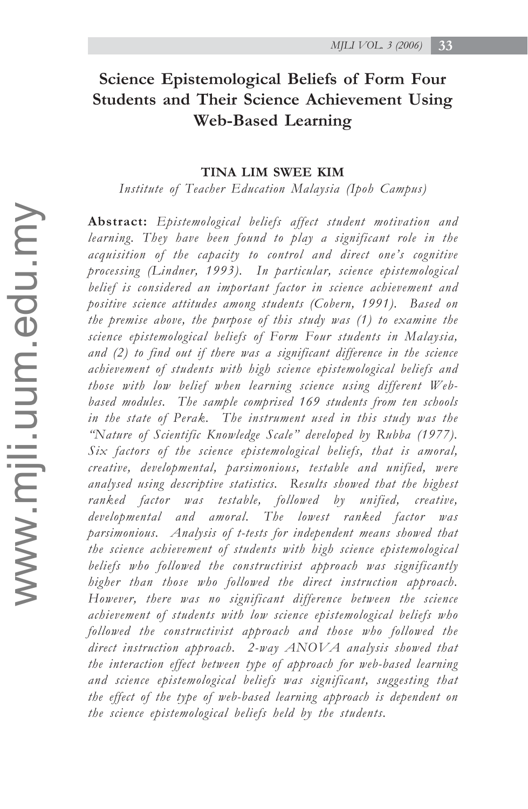# **Science Epistemological Beliefs of Form Four Students and Their Science Achievement Using Web-Based Learning**

# **TINA LIM SWEE KIM**

*Institute of Teacher Education Malaysia (Ipoh Campus)*

**Abstract:** *Epistemological beliefs affect student motivation and learning. They have been found to play a significant role in the acquisition of the capacity to control and direct one's cognitive processing (Lindner, 1993). In particular, science epistemological belief is considered an important factor in science achievement and positive science attitudes among students (Cobern, 1991). Based on the premise above, the purpose of this study was (1) to examine the science epistemological beliefs of Form Four students in Malaysia, and (2) to find out if there was a significant difference in the science achievement of students with high science epistemological beliefs and those with low belief when learning science using different Webbased modules. The sample comprised 169 students from ten schools in the state of Perak. The instrument used in this study was the "Nature of Scientific Knowledge Scale" developed by Rubba (1977). Six factors of the science epistemological beliefs, that is amoral, creative, developmental, parsimonious, testable and unified, were analysed using descriptive statistics. Results showed that the highest ranked factor was testable, followed by unified, creative, developmental and amoral. The lowest ranked factor was parsimonious. Analysis of t-tests for independent means showed that the science achievement of students with high science epistemological beliefs who followed the constructivist approach was significantly higher than those who followed the direct instruction approach. However, there was no significant difference between the science achievement of students with low science epistemological beliefs who followed the constructivist approach and those who followed the direct instruction approach. 2-way ANOVA analysis showed that the interaction effect between type of approach for web-based learning and science epistemological beliefs was significant, suggesting that the effect of the type of web-based learning approach is dependent on the science epistemological beliefs held by the students.*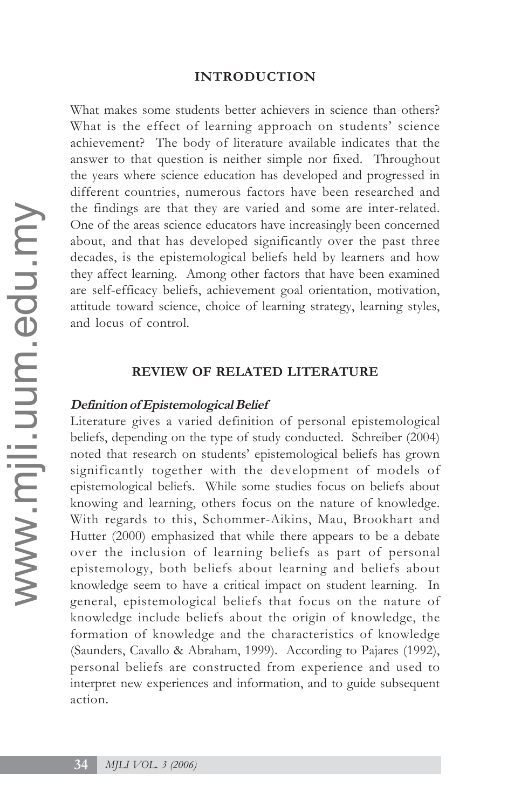# **INTRODUCTION**

What makes some students better achievers in science than others? What is the effect of learning approach on students' science achievement? The body of literature available indicates that the answer to that question is neither simple nor fixed. Throughout the years where science education has developed and progressed in different countries, numerous factors have been researched and the findings are that they are varied and some are inter-related. One of the areas science educators have increasingly been concerned about, and that has developed significantly over the past three decades, is the epistemological beliefs held by learners and how they affect learning. Among other factors that have been examined are self-efficacy beliefs, achievement goal orientation, motivation, attitude toward science, choice of learning strategy, learning styles, and locus of control.

# **REVIEW OF RELATED LITERATURE**

#### **Definition of Epistemological Belief**

Literature gives a varied definition of personal epistemological beliefs, depending on the type of study conducted. Schreiber (2004) noted that research on students' epistemological beliefs has grown significantly together with the development of models of epistemological beliefs. While some studies focus on beliefs about knowing and learning, others focus on the nature of knowledge. With regards to this, Schommer-Aikins, Mau, Brookhart and Hutter (2000) emphasized that while there appears to be a debate over the inclusion of learning beliefs as part of personal epistemology, both beliefs about learning and beliefs about knowledge seem to have a critical impact on student learning. In general, epistemological beliefs that focus on the nature of knowledge include beliefs about the origin of knowledge, the formation of knowledge and the characteristics of knowledge (Saunders, Cavallo & Abraham, 1999). According to Pajares (1992), personal beliefs are constructed from experience and used to interpret new experiences and information, and to guide subsequent action.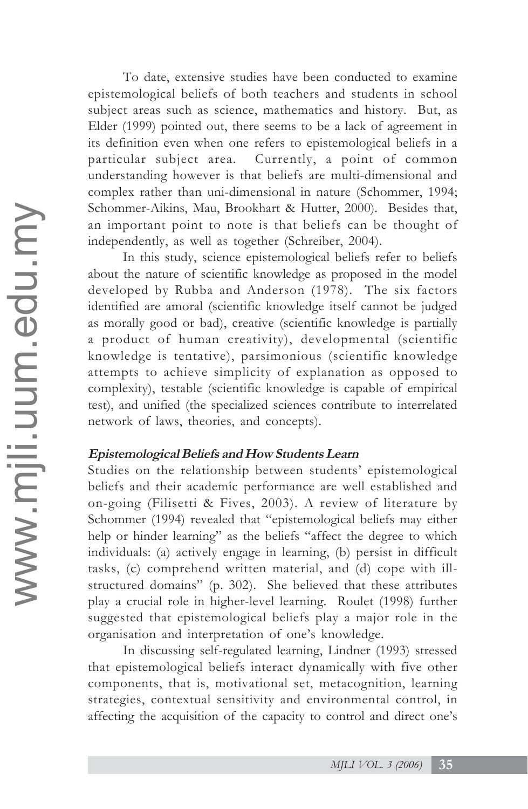To date, extensive studies have been conducted to examine epistemological beliefs of both teachers and students in school subject areas such as science, mathematics and history. But, as Elder (1999) pointed out, there seems to be a lack of agreement in its definition even when one refers to epistemological beliefs in a particular subject area. Currently, a point of common understanding however is that beliefs are multi-dimensional and complex rather than uni-dimensional in nature (Schommer, 1994; Schommer-Aikins, Mau, Brookhart & Hutter, 2000). Besides that, an important point to note is that beliefs can be thought of independently, as well as together (Schreiber, 2004).

In this study, science epistemological beliefs refer to beliefs about the nature of scientific knowledge as proposed in the model developed by Rubba and Anderson (1978). The six factors identified are amoral (scientific knowledge itself cannot be judged as morally good or bad), creative (scientific knowledge is partially a product of human creativity), developmental (scientific knowledge is tentative), parsimonious (scientific knowledge attempts to achieve simplicity of explanation as opposed to complexity), testable (scientific knowledge is capable of empirical test), and unified (the specialized sciences contribute to interrelated network of laws, theories, and concepts).

# **Epistemological Beliefs and How Students Learn**

Studies on the relationship between students' epistemological beliefs and their academic performance are well established and on-going (Filisetti & Fives, 2003). A review of literature by Schommer (1994) revealed that "epistemological beliefs may either help or hinder learning" as the beliefs "affect the degree to which individuals: (a) actively engage in learning, (b) persist in difficult tasks, (c) comprehend written material, and (d) cope with illstructured domains" (p. 302). She believed that these attributes play a crucial role in higher-level learning. Roulet (1998) further suggested that epistemological beliefs play a major role in the organisation and interpretation of one's knowledge.

In discussing self-regulated learning, Lindner (1993) stressed that epistemological beliefs interact dynamically with five other components, that is, motivational set, metacognition, learning strategies, contextual sensitivity and environmental control, in affecting the acquisition of the capacity to control and direct one's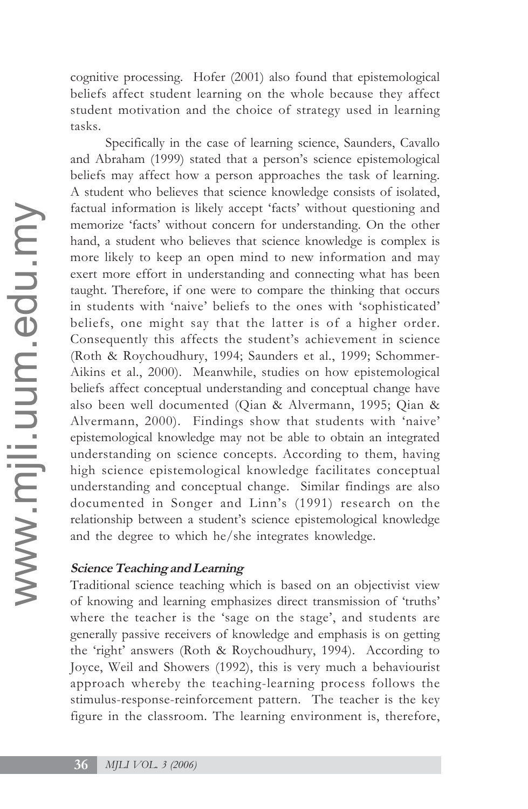cognitive processing. Hofer (2001) also found that epistemological beliefs affect student learning on the whole because they affect student motivation and the choice of strategy used in learning tasks.

Specifically in the case of learning science, Saunders, Cavallo and Abraham (1999) stated that a person's science epistemological beliefs may affect how a person approaches the task of learning. A student who believes that science knowledge consists of isolated, factual information is likely accept 'facts' without questioning and memorize 'facts' without concern for understanding. On the other hand, a student who believes that science knowledge is complex is more likely to keep an open mind to new information and may exert more effort in understanding and connecting what has been taught. Therefore, if one were to compare the thinking that occurs in students with 'naive' beliefs to the ones with 'sophisticated' beliefs, one might say that the latter is of a higher order. Consequently this affects the student's achievement in science (Roth & Roychoudhury, 1994; Saunders et al., 1999; Schommer-Aikins et al., 2000). Meanwhile, studies on how epistemological beliefs affect conceptual understanding and conceptual change have also been well documented (Qian & Alvermann, 1995; Qian & Alvermann, 2000). Findings show that students with 'naive' epistemological knowledge may not be able to obtain an integrated understanding on science concepts. According to them, having high science epistemological knowledge facilitates conceptual understanding and conceptual change. Similar findings are also documented in Songer and Linn's (1991) research on the relationship between a student's science epistemological knowledge and the degree to which he/she integrates knowledge.

# **Science Teaching and Learning**

Traditional science teaching which is based on an objectivist view of knowing and learning emphasizes direct transmission of 'truths' where the teacher is the 'sage on the stage', and students are generally passive receivers of knowledge and emphasis is on getting the 'right' answers (Roth & Roychoudhury, 1994). According to Joyce, Weil and Showers (1992), this is very much a behaviourist approach whereby the teaching-learning process follows the stimulus-response-reinforcement pattern. The teacher is the key figure in the classroom. The learning environment is, therefore,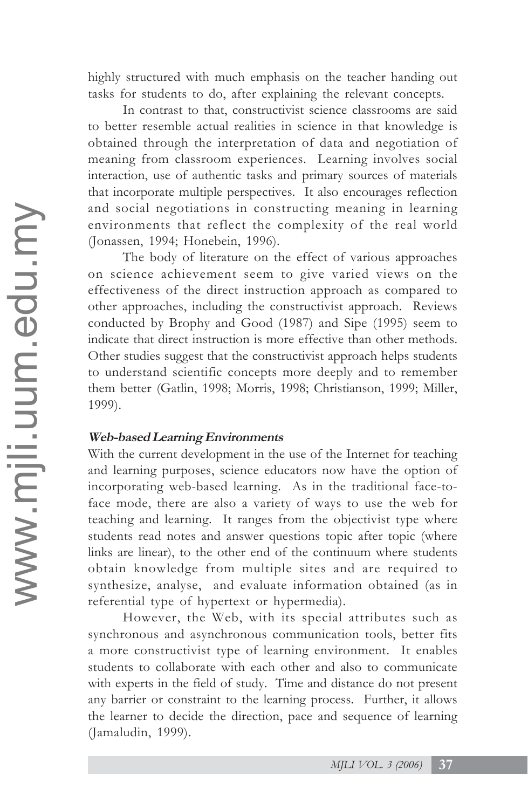highly structured with much emphasis on the teacher handing out tasks for students to do, after explaining the relevant concepts.

In contrast to that, constructivist science classrooms are said to better resemble actual realities in science in that knowledge is obtained through the interpretation of data and negotiation of meaning from classroom experiences. Learning involves social interaction, use of authentic tasks and primary sources of materials that incorporate multiple perspectives. It also encourages reflection and social negotiations in constructing meaning in learning environments that reflect the complexity of the real world (Jonassen, 1994; Honebein, 1996).

The body of literature on the effect of various approaches on science achievement seem to give varied views on the effectiveness of the direct instruction approach as compared to other approaches, including the constructivist approach. Reviews conducted by Brophy and Good (1987) and Sipe (1995) seem to indicate that direct instruction is more effective than other methods. Other studies suggest that the constructivist approach helps students to understand scientific concepts more deeply and to remember them better (Gatlin, 1998; Morris, 1998; Christianson, 1999; Miller, 1999).

# **Web-based Learning Environments**

With the current development in the use of the Internet for teaching and learning purposes, science educators now have the option of incorporating web-based learning. As in the traditional face-toface mode, there are also a variety of ways to use the web for teaching and learning. It ranges from the objectivist type where students read notes and answer questions topic after topic (where links are linear), to the other end of the continuum where students obtain knowledge from multiple sites and are required to synthesize, analyse, and evaluate information obtained (as in referential type of hypertext or hypermedia).

However, the Web, with its special attributes such as synchronous and asynchronous communication tools, better fits a more constructivist type of learning environment. It enables students to collaborate with each other and also to communicate with experts in the field of study. Time and distance do not present any barrier or constraint to the learning process. Further, it allows the learner to decide the direction, pace and sequence of learning (Jamaludin, 1999).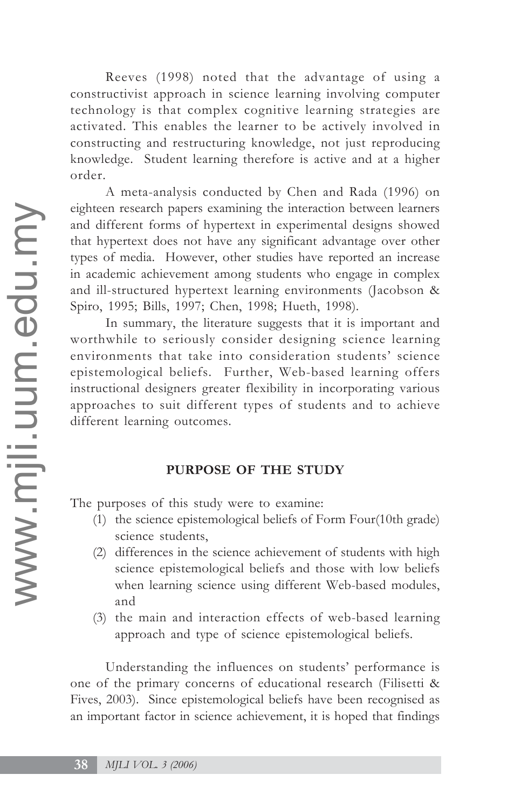Reeves (1998) noted that the advantage of using a constructivist approach in science learning involving computer technology is that complex cognitive learning strategies are activated. This enables the learner to be actively involved in constructing and restructuring knowledge, not just reproducing knowledge. Student learning therefore is active and at a higher order.

A meta-analysis conducted by Chen and Rada (1996) on eighteen research papers examining the interaction between learners and different forms of hypertext in experimental designs showed that hypertext does not have any significant advantage over other types of media. However, other studies have reported an increase in academic achievement among students who engage in complex and ill-structured hypertext learning environments (Jacobson & Spiro, 1995; Bills, 1997; Chen, 1998; Hueth, 1998).

In summary, the literature suggests that it is important and worthwhile to seriously consider designing science learning environments that take into consideration students' science epistemological beliefs. Further, Web-based learning offers instructional designers greater flexibility in incorporating various approaches to suit different types of students and to achieve different learning outcomes.

# **PURPOSE OF THE STUDY**

The purposes of this study were to examine:

- (1) the science epistemological beliefs of Form Four(10th grade) science students,
- (2) differences in the science achievement of students with high science epistemological beliefs and those with low beliefs when learning science using different Web-based modules, and
- (3) the main and interaction effects of web-based learning approach and type of science epistemological beliefs.

Understanding the influences on students' performance is one of the primary concerns of educational research (Filisetti & Fives, 2003). Since epistemological beliefs have been recognised as an important factor in science achievement, it is hoped that findings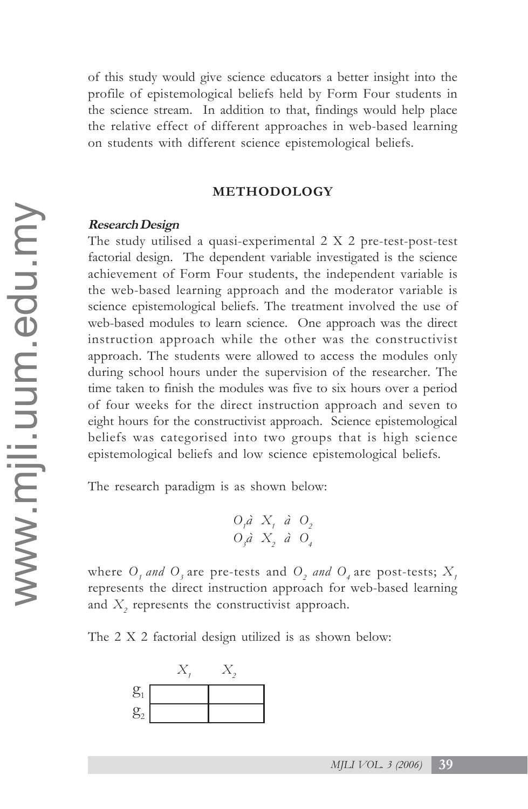of this study would give science educators a better insight into the profile of epistemological beliefs held by Form Four students in the science stream. In addition to that, findings would help place the relative effect of different approaches in web-based learning on students with different science epistemological beliefs.

#### **METHODOLOGY**

#### **Research Design**

The study utilised a quasi-experimental 2 X 2 pre-test-post-test factorial design. The dependent variable investigated is the science achievement of Form Four students, the independent variable is the web-based learning approach and the moderator variable is science epistemological beliefs. The treatment involved the use of web-based modules to learn science. One approach was the direct instruction approach while the other was the constructivist approach. The students were allowed to access the modules only during school hours under the supervision of the researcher. The time taken to finish the modules was five to six hours over a period of four weeks for the direct instruction approach and seven to eight hours for the constructivist approach. Science epistemological beliefs was categorised into two groups that is high science epistemological beliefs and low science epistemological beliefs.

The research paradigm is as shown below:

$$
\begin{array}{ccccc}\nO_i \hat{a} & X_i & \hat{a} & O_2 \\
O_j \hat{a} & X_2 & \hat{a} & O_4\n\end{array}
$$

where  $O_1$  and  $O_3$  are pre-tests and  $O_2$  and  $O_4$  are post-tests;  $X_1$ represents the direct instruction approach for web-based learning and  $X$ <sub>2</sub> represents the constructivist approach.

The 2 X 2 factorial design utilized is as shown below:

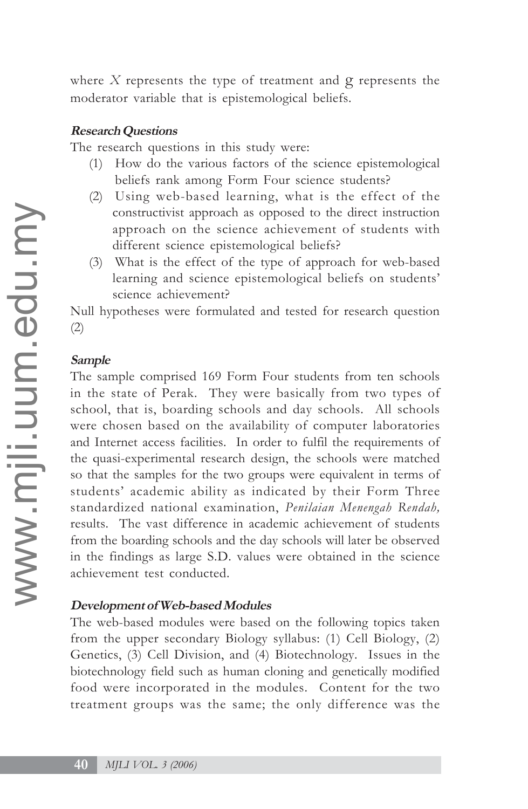where *X* represents the type of treatment and g represents the moderator variable that is epistemological beliefs.

# **Research Questions**

The research questions in this study were:

- (1) How do the various factors of the science epistemological beliefs rank among Form Four science students?
- (2) Using web-based learning, what is the effect of the constructivist approach as opposed to the direct instruction approach on the science achievement of students with different science epistemological beliefs?
- (3) What is the effect of the type of approach for web-based learning and science epistemological beliefs on students' science achievement?

Null hypotheses were formulated and tested for research question (2)

# **Sample**

The sample comprised 169 Form Four students from ten schools in the state of Perak. They were basically from two types of school, that is, boarding schools and day schools. All schools were chosen based on the availability of computer laboratories and Internet access facilities. In order to fulfil the requirements of the quasi-experimental research design, the schools were matched so that the samples for the two groups were equivalent in terms of students' academic ability as indicated by their Form Three standardized national examination, *Penilaian Menengah Rendah,* results. The vast difference in academic achievement of students from the boarding schools and the day schools will later be observed in the findings as large S.D. values were obtained in the science achievement test conducted.

# **Development of Web-based Modules**

The web-based modules were based on the following topics taken from the upper secondary Biology syllabus: (1) Cell Biology, (2) Genetics, (3) Cell Division, and (4) Biotechnology. Issues in the biotechnology field such as human cloning and genetically modified food were incorporated in the modules. Content for the two treatment groups was the same; the only difference was the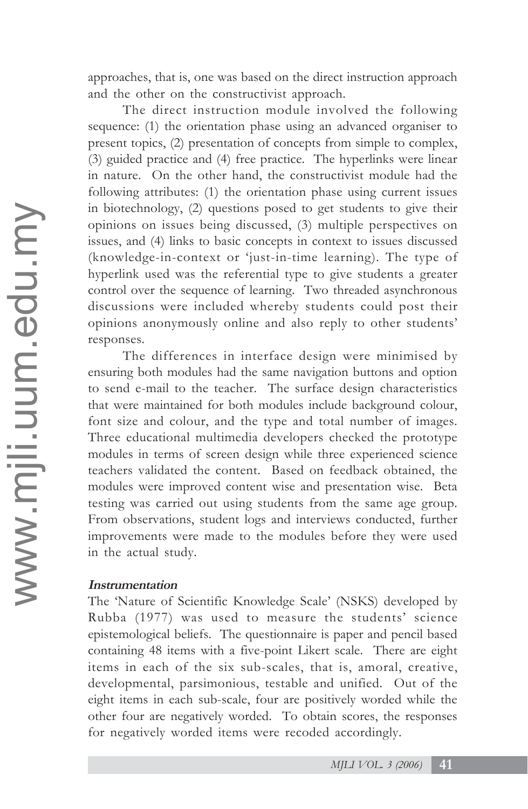approaches, that is, one was based on the direct instruction approach and the other on the constructivist approach.

The direct instruction module involved the following sequence: (1) the orientation phase using an advanced organiser to present topics, (2) presentation of concepts from simple to complex, (3) guided practice and (4) free practice. The hyperlinks were linear in nature. On the other hand, the constructivist module had the following attributes: (1) the orientation phase using current issues in biotechnology, (2) questions posed to get students to give their opinions on issues being discussed, (3) multiple perspectives on issues, and (4) links to basic concepts in context to issues discussed (knowledge-in-context or 'just-in-time learning). The type of hyperlink used was the referential type to give students a greater control over the sequence of learning. Two threaded asynchronous discussions were included whereby students could post their opinions anonymously online and also reply to other students' responses.

The differences in interface design were minimised by ensuring both modules had the same navigation buttons and option to send e-mail to the teacher. The surface design characteristics that were maintained for both modules include background colour, font size and colour, and the type and total number of images. Three educational multimedia developers checked the prototype modules in terms of screen design while three experienced science teachers validated the content. Based on feedback obtained, the modules were improved content wise and presentation wise. Beta testing was carried out using students from the same age group. From observations, student logs and interviews conducted, further improvements were made to the modules before they were used in the actual study.

# **Instrumentation**

The 'Nature of Scientific Knowledge Scale' (NSKS) developed by Rubba (1977) was used to measure the students' science epistemological beliefs. The questionnaire is paper and pencil based containing 48 items with a five-point Likert scale. There are eight items in each of the six sub-scales, that is, amoral, creative, developmental, parsimonious, testable and unified. Out of the eight items in each sub-scale, four are positively worded while the other four are negatively worded. To obtain scores, the responses for negatively worded items were recoded accordingly.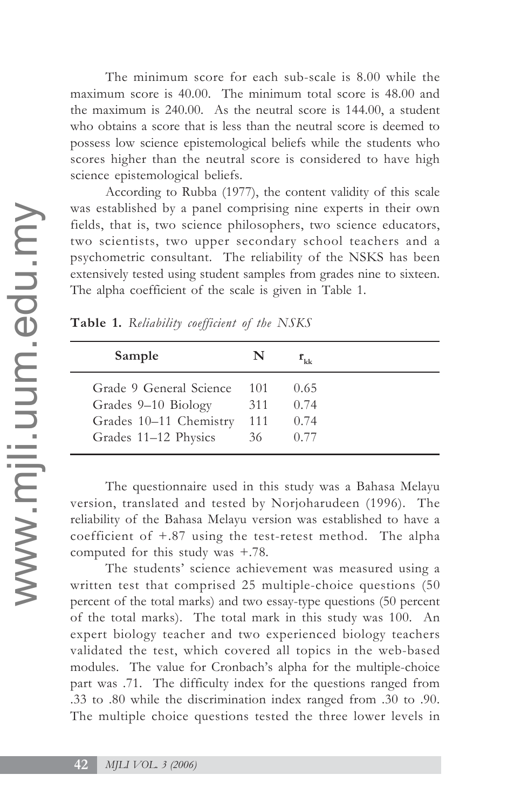The minimum score for each sub-scale is 8.00 while the maximum score is 40.00. The minimum total score is 48.00 and the maximum is 240.00. As the neutral score is 144.00, a student who obtains a score that is less than the neutral score is deemed to possess low science epistemological beliefs while the students who scores higher than the neutral score is considered to have high science epistemological beliefs.

According to Rubba (1977), the content validity of this scale was established by a panel comprising nine experts in their own fields, that is, two science philosophers, two science educators, two scientists, two upper secondary school teachers and a psychometric consultant. The reliability of the NSKS has been extensively tested using student samples from grades nine to sixteen. The alpha coefficient of the scale is given in Table 1.

| Sample                  | N   |      |
|-------------------------|-----|------|
| Grade 9 General Science | 101 | 0.65 |
| Grades 9–10 Biology     | 311 | 0.74 |
| Grades 10-11 Chemistry  | 111 | 0.74 |
| Grades 11-12 Physics    | 36  | 0.77 |

**Table 1.** *Reliability coefficient of the NSKS*

The questionnaire used in this study was a Bahasa Melayu version, translated and tested by Norjoharudeen (1996). The reliability of the Bahasa Melayu version was established to have a coefficient of +.87 using the test-retest method. The alpha computed for this study was +.78.

The students' science achievement was measured using a written test that comprised 25 multiple-choice questions (50 percent of the total marks) and two essay-type questions (50 percent of the total marks). The total mark in this study was 100. An expert biology teacher and two experienced biology teachers validated the test, which covered all topics in the web-based modules. The value for Cronbach's alpha for the multiple-choice part was .71. The difficulty index for the questions ranged from .33 to .80 while the discrimination index ranged from .30 to .90. The multiple choice questions tested the three lower levels in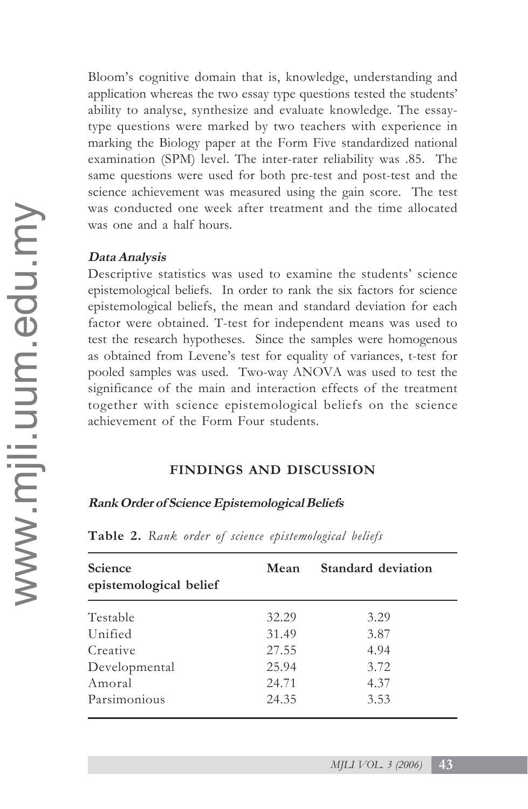Bloom's cognitive domain that is, knowledge, understanding and application whereas the two essay type questions tested the students' ability to analyse, synthesize and evaluate knowledge. The essaytype questions were marked by two teachers with experience in marking the Biology paper at the Form Five standardized national examination (SPM) level. The inter-rater reliability was .85. The same questions were used for both pre-test and post-test and the science achievement was measured using the gain score. The test was conducted one week after treatment and the time allocated was one and a half hours.

# **Data Analysis**

Descriptive statistics was used to examine the students' science epistemological beliefs. In order to rank the six factors for science epistemological beliefs, the mean and standard deviation for each factor were obtained. T-test for independent means was used to test the research hypotheses. Since the samples were homogenous as obtained from Levene's test for equality of variances, t-test for pooled samples was used. Two-way ANOVA was used to test the significance of the main and interaction effects of the treatment together with science epistemological beliefs on the science achievement of the Form Four students.

# **FINDINGS AND DISCUSSION**

# **Rank Order of Science Epistemological Beliefs**

| <b>Science</b><br>epistemological belief | Mean  | Standard deviation |  |  |  |
|------------------------------------------|-------|--------------------|--|--|--|
| Testable                                 | 32.29 | 3.29               |  |  |  |
| Unified                                  | 31.49 | 3.87               |  |  |  |
| Creative                                 | 27.55 | 4.94               |  |  |  |
| Developmental                            | 25.94 | 3.72               |  |  |  |
| Amoral                                   | 24.71 | 4.37               |  |  |  |
| Parsimonious                             | 24.35 | 3.53               |  |  |  |

**Table 2.** *Rank order of science epistemological beliefs*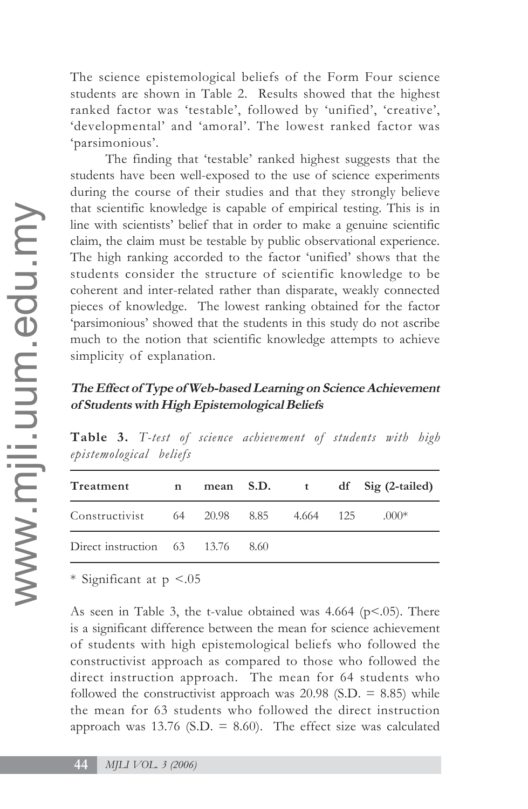The science epistemological beliefs of the Form Four science students are shown in Table 2. Results showed that the highest ranked factor was 'testable', followed by 'unified', 'creative', 'developmental' and 'amoral'. The lowest ranked factor was 'parsimonious'.

The finding that 'testable' ranked highest suggests that the students have been well-exposed to the use of science experiments during the course of their studies and that they strongly believe that scientific knowledge is capable of empirical testing. This is in line with scientists' belief that in order to make a genuine scientific claim, the claim must be testable by public observational experience. The high ranking accorded to the factor 'unified' shows that the students consider the structure of scientific knowledge to be coherent and inter-related rather than disparate, weakly connected pieces of knowledge. The lowest ranking obtained for the factor 'parsimonious' showed that the students in this study do not ascribe much to the notion that scientific knowledge attempts to achieve simplicity of explanation.

# **The Effect of Type of Web-based Learning on Science Achievement of Students with High Epistemological Beliefs**

| Treatment                              | $\mathbf n$ |      |  | mean S.D. t df Sig (2-tailed) |
|----------------------------------------|-------------|------|--|-------------------------------|
| Constructivist 64 20.98 8.85 4.664 125 |             |      |  | $.000*$                       |
| Direct instruction 63 13.76            |             | 8.60 |  |                               |

**Table 3.** *T-test of science achievement of students with high epistemological beliefs*

\* Significant at p <.05

As seen in Table 3, the t-value obtained was  $4.664$  (p $\leq$ .05). There is a significant difference between the mean for science achievement of students with high epistemological beliefs who followed the constructivist approach as compared to those who followed the direct instruction approach. The mean for 64 students who followed the constructivist approach was  $20.98$  (S.D. = 8.85) while the mean for 63 students who followed the direct instruction approach was 13.76 (S.D.  $= 8.60$ ). The effect size was calculated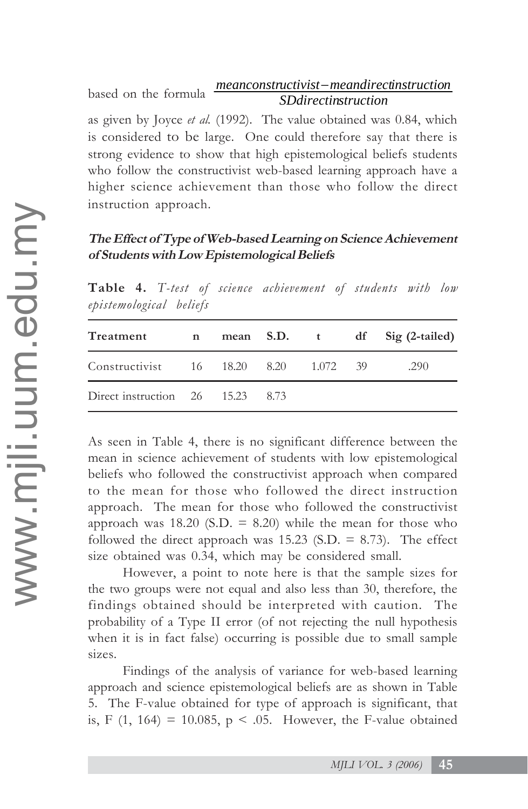based on the formula *SDdirectinstruction meanconstructivist*−*meandirectinstruction*

as given by Joyce *et al.* (1992). The value obtained was 0.84, which is considered to be large. One could therefore say that there is strong evidence to show that high epistemological beliefs students who follow the constructivist web-based learning approach have a higher science achievement than those who follow the direct instruction approach.

# **The Effect of Type of Web-based Learning on Science Achievement of Students with Low Epistemological Beliefs**

| Treatment                             |  |  |  |  |  | n mean S.D. t df Sig (2-tailed) |  |  |
|---------------------------------------|--|--|--|--|--|---------------------------------|--|--|
| Constructivist 16 18.20 8.20 1.072 39 |  |  |  |  |  | .290                            |  |  |
| Direct instruction 26 15.23 8.73      |  |  |  |  |  |                                 |  |  |

**Table 4.** *T-test of science achievement of students with low epistemological beliefs*

As seen in Table 4, there is no significant difference between the mean in science achievement of students with low epistemological beliefs who followed the constructivist approach when compared to the mean for those who followed the direct instruction approach. The mean for those who followed the constructivist approach was  $18.20$  (S.D. = 8.20) while the mean for those who followed the direct approach was  $15.23$  (S.D. = 8.73). The effect size obtained was 0.34, which may be considered small.

However, a point to note here is that the sample sizes for the two groups were not equal and also less than 30, therefore, the findings obtained should be interpreted with caution. The probability of a Type II error (of not rejecting the null hypothesis when it is in fact false) occurring is possible due to small sample sizes.

Findings of the analysis of variance for web-based learning approach and science epistemological beliefs are as shown in Table 5. The F-value obtained for type of approach is significant, that is, F (1, 164) = 10.085, p < .05. However, the F-value obtained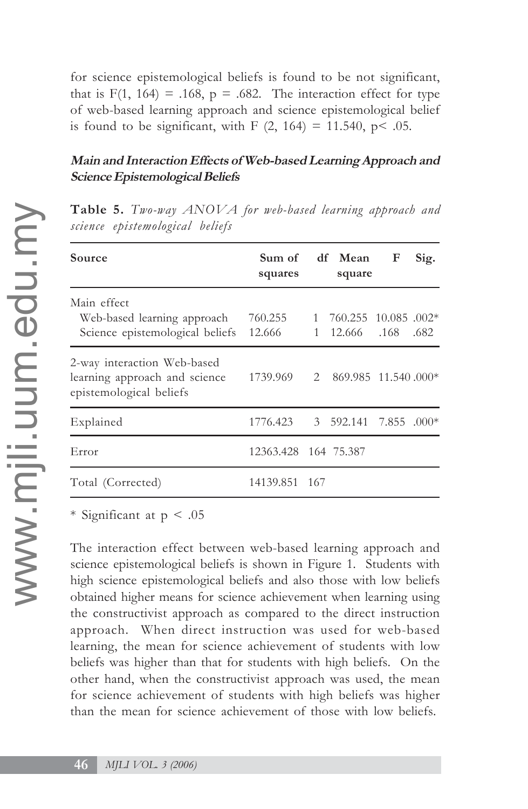for science epistemological beliefs is found to be not significant, that is  $F(1, 164) = .168$ ,  $p = .682$ . The interaction effect for type of web-based learning approach and science epistemological belief is found to be significant, with  $F(2, 164) = 11.540$ ,  $p < .05$ .

# **Main and Interaction Effects of Web-based Learning Approach and Science Epistemological Beliefs**

| Source                                                                                  | squares                        | Sum of df Mean<br>square                                  | F | Sig. |
|-----------------------------------------------------------------------------------------|--------------------------------|-----------------------------------------------------------|---|------|
| Main effect<br>Web-based learning approach<br>Science epistemological beliefs           | 760.255<br>12.666              | $1\quad 760.255\quad 10.085\ .002*$<br>1 12.666 .168 .682 |   |      |
| 2-way interaction Web-based<br>learning approach and science<br>epistemological beliefs | 1739.969                       | 2 869.985 11.540.000*                                     |   |      |
| Explained                                                                               | 1776.423 3 592.141 7.855 .000* |                                                           |   |      |
| Error                                                                                   | 12363.428 164 75.387           |                                                           |   |      |
| Total (Corrected)                                                                       | 14139.851 167                  |                                                           |   |      |

**Table 5.** *Two-way ANOVA for web-based learning approach and science epistemological beliefs*

\* Significant at  $p < .05$ 

The interaction effect between web-based learning approach and science epistemological beliefs is shown in Figure 1. Students with high science epistemological beliefs and also those with low beliefs obtained higher means for science achievement when learning using the constructivist approach as compared to the direct instruction approach. When direct instruction was used for web-based learning, the mean for science achievement of students with low beliefs was higher than that for students with high beliefs. On the other hand, when the constructivist approach was used, the mean for science achievement of students with high beliefs was higher than the mean for science achievement of those with low beliefs.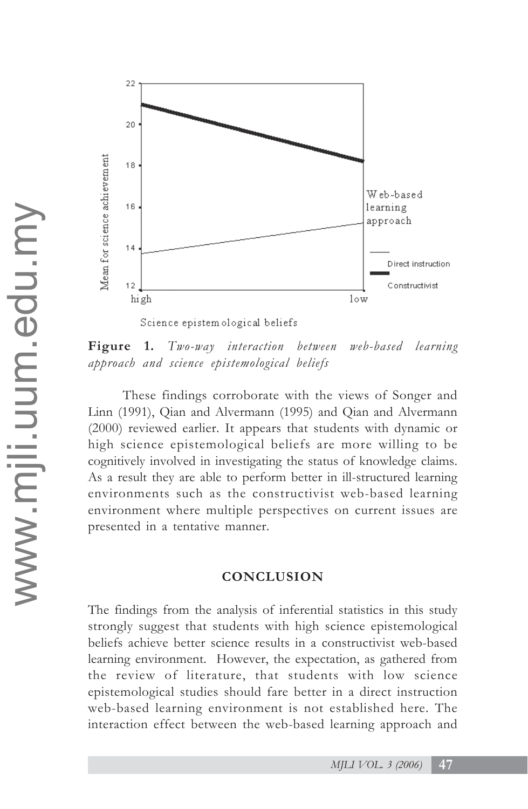

Science epistem ological beliefs

**Figure 1.** *Two-way interaction between web-based learning approach and science epistemological beliefs*

These findings corroborate with the views of Songer and Linn (1991), Qian and Alvermann (1995) and Qian and Alvermann (2000) reviewed earlier. It appears that students with dynamic or high science epistemological beliefs are more willing to be cognitively involved in investigating the status of knowledge claims. As a result they are able to perform better in ill-structured learning environments such as the constructivist web-based learning environment where multiple perspectives on current issues are presented in a tentative manner.

# **CONCLUSION**

The findings from the analysis of inferential statistics in this study strongly suggest that students with high science epistemological beliefs achieve better science results in a constructivist web-based learning environment. However, the expectation, as gathered from the review of literature, that students with low science epistemological studies should fare better in a direct instruction web-based learning environment is not established here. The interaction effect between the web-based learning approach and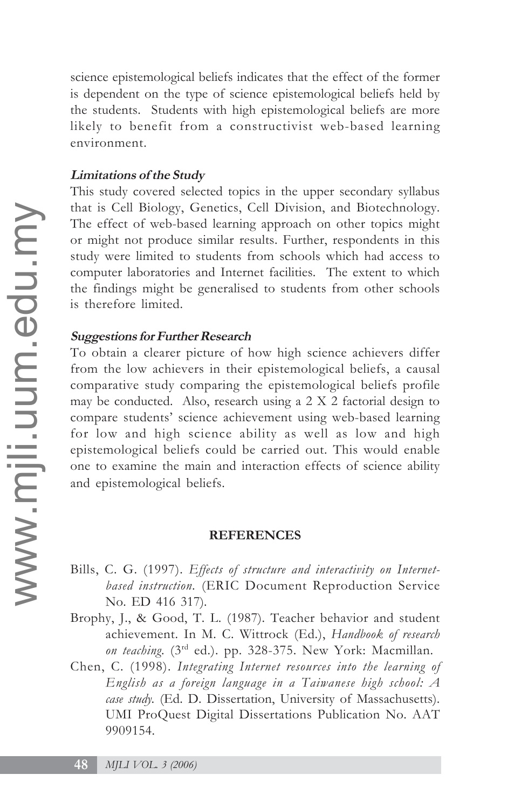science epistemological beliefs indicates that the effect of the former is dependent on the type of science epistemological beliefs held by the students. Students with high epistemological beliefs are more likely to benefit from a constructivist web-based learning environment.

# **Limitations of the Study**

This study covered selected topics in the upper secondary syllabus that is Cell Biology, Genetics, Cell Division, and Biotechnology. The effect of web-based learning approach on other topics might or might not produce similar results. Further, respondents in this study were limited to students from schools which had access to computer laboratories and Internet facilities. The extent to which the findings might be generalised to students from other schools is therefore limited.

# **Suggestions for Further Research**

To obtain a clearer picture of how high science achievers differ from the low achievers in their epistemological beliefs, a causal comparative study comparing the epistemological beliefs profile may be conducted. Also, research using a 2 X 2 factorial design to compare students' science achievement using web-based learning for low and high science ability as well as low and high epistemological beliefs could be carried out. This would enable one to examine the main and interaction effects of science ability and epistemological beliefs.

#### **REFERENCES**

- Bills, C. G. (1997). *Effects of structure and interactivity on Internetbased instruction.* (ERIC Document Reproduction Service No. ED 416 317).
- Brophy, J., & Good, T. L. (1987). Teacher behavior and student achievement. In M. C. Wittrock (Ed.), *Handbook of research on teaching*. (3rd ed.). pp. 328-375. New York: Macmillan.
- Chen, C. (1998). *Integrating Internet resources into the learning of English as a foreign language in a Taiwanese high school: A case study.* (Ed. D. Dissertation, University of Massachusetts). UMI ProQuest Digital Dissertations Publication No. AAT 9909154.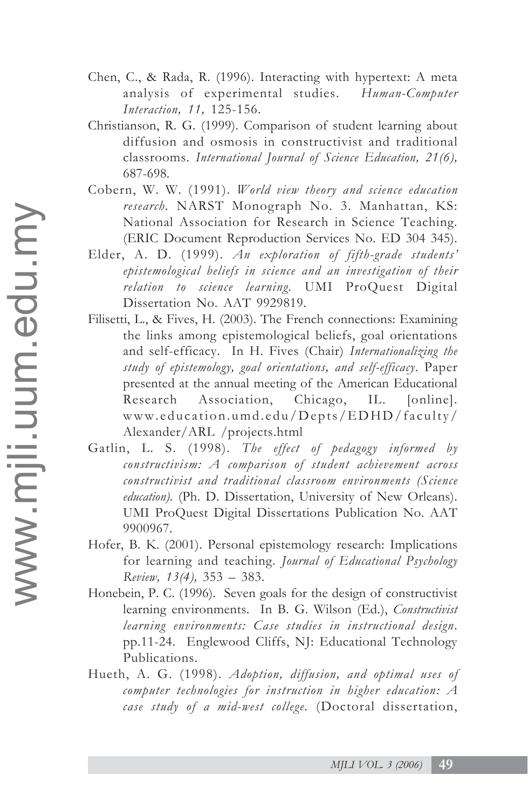- Chen, C., & Rada, R. (1996). Interacting with hypertext: A meta analysis of experimental studies. *Human-Computer Interaction, 11,* 125-156.
- Christianson, R. G. (1999). Comparison of student learning about diffusion and osmosis in constructivist and traditional classrooms. *International Journal of Science Education, 21(6),* 687-698.
- Cobern, W. W. (1991). *World view theory and science education research.* NARST Monograph No. 3. Manhattan, KS: National Association for Research in Science Teaching. (ERIC Document Reproduction Services No. ED 304 345).
- Elder, A. D. (1999). *An exploration of fifth-grade students' epistemological beliefs in science and an investigation of their relation to science learning.* UMI ProQuest Digital Dissertation No. AAT 9929819.
- Filisetti, L., & Fives, H. (2003). The French connections: Examining the links among epistemological beliefs, goal orientations and self-efficacy. In H. Fives (Chair) *Internationalizing the study of epistemology, goal orientations, and self-efficacy*. Paper presented at the annual meeting of the American Educational Research Association, Chicago, IL. [online]. www.education.umd.edu/Depts/EDHD/faculty/ Alexander/ARL /projects.html
- Gatlin, L. S. (1998). *The effect of pedagogy informed by constructivism: A comparison of student achievement across constructivist and traditional classroom environments (Science education).* (Ph. D. Dissertation, University of New Orleans). UMI ProQuest Digital Dissertations Publication No. AAT 9900967.
- Hofer, B. K. (2001). Personal epistemology research: Implications for learning and teaching. *Journal of Educational Psychology Review, 13(4),* 353 – 383.
- Honebein, P. C. (1996). Seven goals for the design of constructivist learning environments. In B. G. Wilson (Ed.), *Constructivist learning environments: Case studies in instructional design*. pp.11-24. Englewood Cliffs, NJ: Educational Technology Publications.
- Hueth, A. G. (1998). *Adoption, diffusion, and optimal uses of computer technologies for instruction in higher education: A case study of a mid-west college.* (Doctoral dissertation,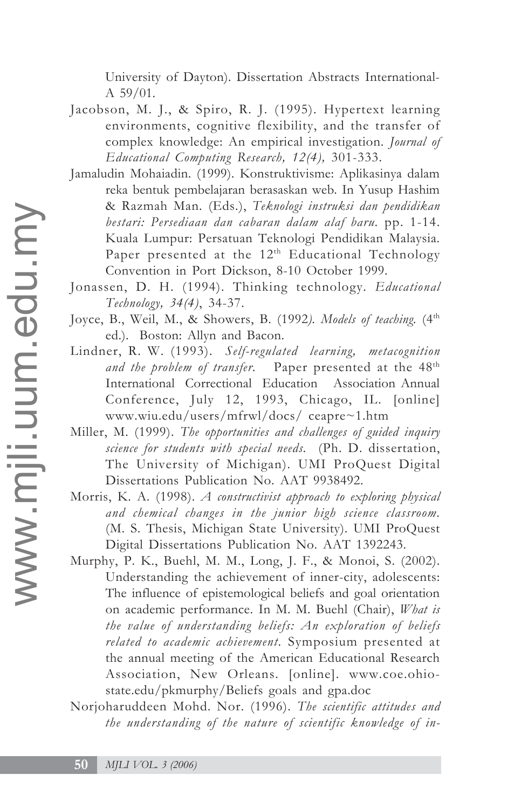University of Dayton). Dissertation Abstracts International-A 59/01.

- Jacobson, M. J., & Spiro, R. J. (1995). Hypertext learning environments, cognitive flexibility, and the transfer of complex knowledge: An empirical investigation. *Journal of Educational Computing Research, 12(4),* 301-333.
- Jamaludin Mohaiadin. (1999). Konstruktivisme: Aplikasinya dalam reka bentuk pembelajaran berasaskan web. In Yusup Hashim & Razmah Man. (Eds.), *Teknologi instruksi dan pendidikan bestari: Persediaan dan cabaran dalam alaf baru.* pp. 1-14. Kuala Lumpur: Persatuan Teknologi Pendidikan Malaysia. Paper presented at the  $12<sup>th</sup>$  Educational Technology Convention in Port Dickson, 8-10 October 1999.
- Jonassen, D. H. (1994). Thinking technology. *Educational Technology, 34(4)*, 34-37.
- Joyce, B., Weil, M., & Showers, B. (1992). Models of teaching. (4<sup>th</sup>) ed.). Boston: Allyn and Bacon.
- Lindner, R. W. (1993). *Self-regulated learning, metacognition* and the problem of transfer. Paper presented at the 48<sup>th</sup> International Correctional Education Association Annual Conference, July 12, 1993, Chicago, IL. [online] www.wiu.edu/users/mfrwl/docs/ ceapre~1.htm
- Miller, M. (1999). *The opportunities and challenges of guided inquiry science for students with special needs.* (Ph. D. dissertation, The University of Michigan). UMI ProQuest Digital Dissertations Publication No. AAT 9938492.
- Morris, K. A. (1998). *A constructivist approach to exploring physical and chemical changes in the junior high science classroom.* (M. S. Thesis, Michigan State University). UMI ProQuest Digital Dissertations Publication No. AAT 1392243.
- Murphy, P. K., Buehl, M. M., Long, J. F., & Monoi, S. (2002). Understanding the achievement of inner-city, adolescents: The influence of epistemological beliefs and goal orientation on academic performance. In M. M. Buehl (Chair), *What is the value of understanding beliefs: An exploration of beliefs related to academic achievement*. Symposium presented at the annual meeting of the American Educational Research Association, New Orleans. [online]. www.coe.ohiostate.edu/pkmurphy/Beliefs goals and gpa.doc
- Norjoharuddeen Mohd. Nor. (1996). *The scientific attitudes and the understanding of the nature of scientific knowledge of in-*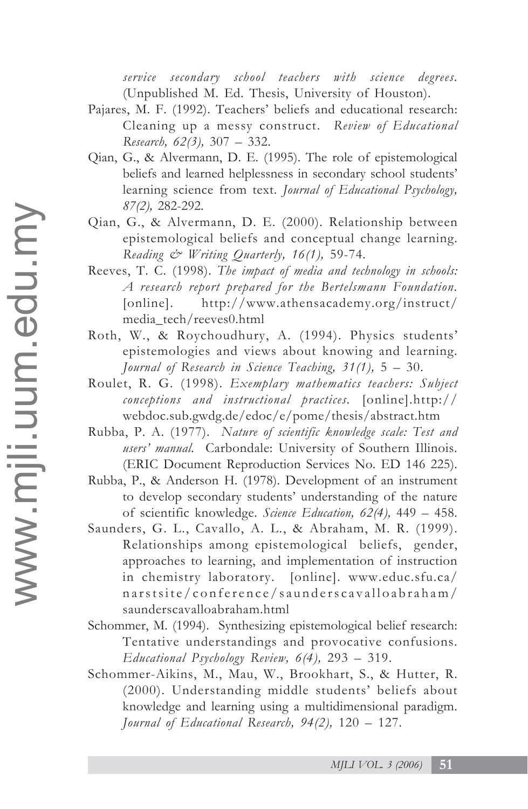*service secondary school teachers with science degrees.* (Unpublished M. Ed. Thesis, University of Houston).

- Pajares, M. F. (1992). Teachers' beliefs and educational research: Cleaning up a messy construct. *Review of Educational Research, 62(3),* 307 – 332.
- Qian, G., & Alvermann, D. E. (1995). The role of epistemological beliefs and learned helplessness in secondary school students' learning science from text. *Journal of Educational Psychology, 87(2),* 282-292.
- Qian, G., & Alvermann, D. E. (2000). Relationship between epistemological beliefs and conceptual change learning. *Reading & Writing Quarterly, 16(1),* 59-74.
- Reeves, T. C. (1998). *The impact of media and technology in schools: A research report prepared for the Bertelsmann Foundation.* [online]. http://www.athensacademy.org/instruct/ media\_tech/reeves0.html
- Roth, W., & Roychoudhury, A. (1994). Physics students' epistemologies and views about knowing and learning. *Journal of Research in Science Teaching, 31(1),* 5 – 30.
- Roulet, R. G. (1998). *Exemplary mathematics teachers: Subject conceptions and instructional practices.* [online].http:// webdoc.sub.gwdg.de/edoc/e/pome/thesis/abstract.htm
- Rubba, P. A. (1977). *Nature of scientific knowledge scale: Test and users' manual.* Carbondale: University of Southern Illinois. (ERIC Document Reproduction Services No. ED 146 225).
- Rubba, P., & Anderson H. (1978). Development of an instrument to develop secondary students' understanding of the nature of scientific knowledge. *Science Education, 62(4),* 449 – 458.
- Saunders, G. L., Cavallo, A. L., & Abraham, M. R. (1999). Relationships among epistemological beliefs, gender, approaches to learning, and implementation of instruction in chemistry laboratory. [online]. www.educ.sfu.ca/ narstsite/conference/saunderscavalloabraham/ saunderscavalloabraham.html
- Schommer, M. (1994). Synthesizing epistemological belief research: Tentative understandings and provocative confusions. *Educational Psychology Review, 6(4),* 293 – 319.
- Schommer-Aikins, M., Mau, W., Brookhart, S., & Hutter, R. (2000). Understanding middle students' beliefs about knowledge and learning using a multidimensional paradigm. *Journal of Educational Research, 94(2),* 120 – 127.